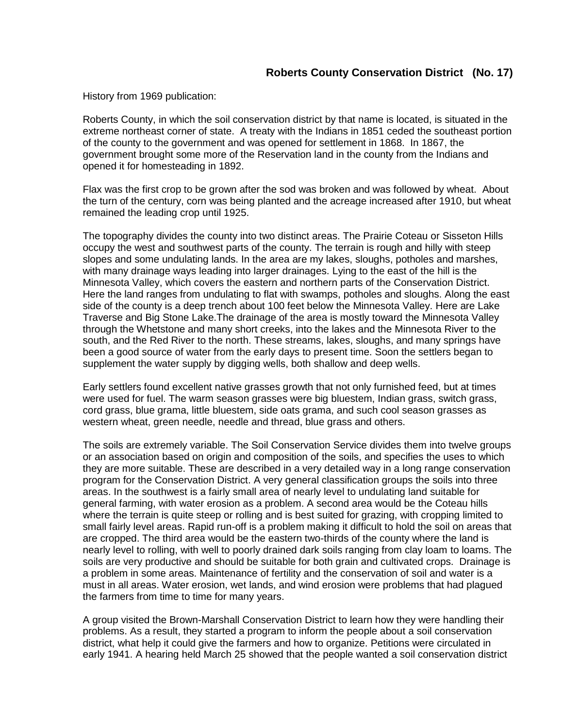History from 1969 publication:

Roberts County, in which the soil conservation district by that name is located, is situated in the extreme northeast corner of state. A treaty with the Indians in 1851 ceded the southeast portion of the county to the government and was opened for settlement in 1868. In 1867, the government brought some more of the Reservation land in the county from the Indians and opened it for homesteading in 1892.

Flax was the first crop to be grown after the sod was broken and was followed by wheat. About the turn of the century, corn was being planted and the acreage increased after 1910, but wheat remained the leading crop until 1925.

The topography divides the county into two distinct areas. The Prairie Coteau or Sisseton Hills occupy the west and southwest parts of the county. The terrain is rough and hilly with steep slopes and some undulating lands. In the area are my lakes, sloughs, potholes and marshes, with many drainage ways leading into larger drainages. Lying to the east of the hill is the Minnesota Valley, which covers the eastern and northern parts of the Conservation District. Here the land ranges from undulating to flat with swamps, potholes and sloughs. Along the east side of the county is a deep trench about 100 feet below the Minnesota Valley. Here are Lake Traverse and Big Stone Lake.The drainage of the area is mostly toward the Minnesota Valley through the Whetstone and many short creeks, into the lakes and the Minnesota River to the south, and the Red River to the north. These streams, lakes, sloughs, and many springs have been a good source of water from the early days to present time. Soon the settlers began to supplement the water supply by digging wells, both shallow and deep wells.

Early settlers found excellent native grasses growth that not only furnished feed, but at times were used for fuel. The warm season grasses were big bluestem, Indian grass, switch grass, cord grass, blue grama, little bluestem, side oats grama, and such cool season grasses as western wheat, green needle, needle and thread, blue grass and others.

The soils are extremely variable. The Soil Conservation Service divides them into twelve groups or an association based on origin and composition of the soils, and specifies the uses to which they are more suitable. These are described in a very detailed way in a long range conservation program for the Conservation District. A very general classification groups the soils into three areas. In the southwest is a fairly small area of nearly level to undulating land suitable for general farming, with water erosion as a problem. A second area would be the Coteau hills where the terrain is quite steep or rolling and is best suited for grazing, with cropping limited to small fairly level areas. Rapid run-off is a problem making it difficult to hold the soil on areas that are cropped. The third area would be the eastern two-thirds of the county where the land is nearly level to rolling, with well to poorly drained dark soils ranging from clay loam to loams. The soils are very productive and should be suitable for both grain and cultivated crops. Drainage is a problem in some areas. Maintenance of fertility and the conservation of soil and water is a must in all areas. Water erosion, wet lands, and wind erosion were problems that had plagued the farmers from time to time for many years.

A group visited the Brown-Marshall Conservation District to learn how they were handling their problems. As a result, they started a program to inform the people about a soil conservation district, what help it could give the farmers and how to organize. Petitions were circulated in early 1941. A hearing held March 25 showed that the people wanted a soil conservation district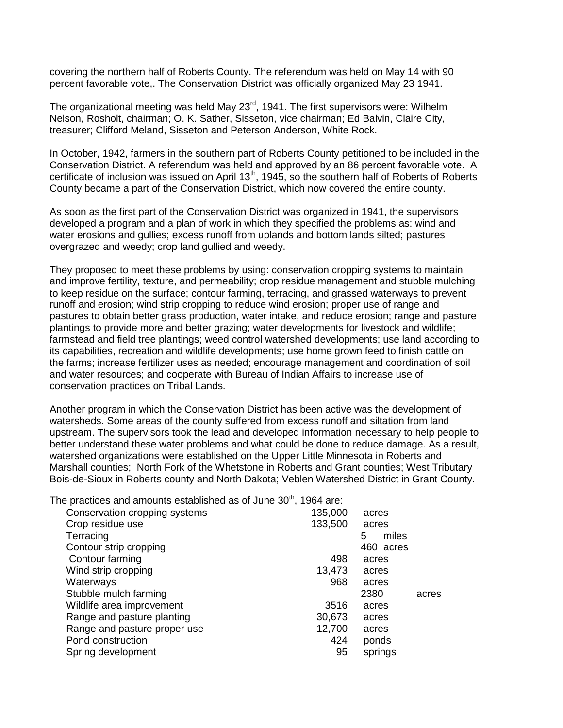covering the northern half of Roberts County. The referendum was held on May 14 with 90 percent favorable vote,. The Conservation District was officially organized May 23 1941.

The organizational meeting was held May 23<sup>rd</sup>, 1941. The first supervisors were: Wilhelm Nelson, Rosholt, chairman; O. K. Sather, Sisseton, vice chairman; Ed Balvin, Claire City, treasurer; Clifford Meland, Sisseton and Peterson Anderson, White Rock.

In October, 1942, farmers in the southern part of Roberts County petitioned to be included in the Conservation District. A referendum was held and approved by an 86 percent favorable vote. A certificate of inclusion was issued on April 13<sup>th</sup>, 1945, so the southern half of Roberts of Roberts County became a part of the Conservation District, which now covered the entire county.

As soon as the first part of the Conservation District was organized in 1941, the supervisors developed a program and a plan of work in which they specified the problems as: wind and water erosions and gullies; excess runoff from uplands and bottom lands silted; pastures overgrazed and weedy; crop land gullied and weedy.

They proposed to meet these problems by using: conservation cropping systems to maintain and improve fertility, texture, and permeability; crop residue management and stubble mulching to keep residue on the surface; contour farming, terracing, and grassed waterways to prevent runoff and erosion; wind strip cropping to reduce wind erosion; proper use of range and pastures to obtain better grass production, water intake, and reduce erosion; range and pasture plantings to provide more and better grazing; water developments for livestock and wildlife; farmstead and field tree plantings; weed control watershed developments; use land according to its capabilities, recreation and wildlife developments; use home grown feed to finish cattle on the farms; increase fertilizer uses as needed; encourage management and coordination of soil and water resources; and cooperate with Bureau of Indian Affairs to increase use of conservation practices on Tribal Lands.

Another program in which the Conservation District has been active was the development of watersheds. Some areas of the county suffered from excess runoff and siltation from land upstream. The supervisors took the lead and developed information necessary to help people to better understand these water problems and what could be done to reduce damage. As a result, watershed organizations were established on the Upper Little Minnesota in Roberts and Marshall counties; North Fork of the Whetstone in Roberts and Grant counties; West Tributary Bois-de-Sioux in Roberts county and North Dakota; Veblen Watershed District in Grant County.

The practices and amounts established as of June  $30<sup>th</sup>$ . 1964 are:

| Conservation cropping systems | 135,000 | acres      |       |
|-------------------------------|---------|------------|-------|
| Crop residue use              | 133,500 | acres      |       |
| Terracing                     |         | miles<br>5 |       |
| Contour strip cropping        |         | 460 acres  |       |
| Contour farming               | 498     | acres      |       |
| Wind strip cropping           | 13,473  | acres      |       |
| Waterways                     | 968     | acres      |       |
| Stubble mulch farming         |         | 2380       | acres |
| Wildlife area improvement     | 3516    | acres      |       |
| Range and pasture planting    | 30,673  | acres      |       |
| Range and pasture proper use  | 12,700  | acres      |       |
| Pond construction             | 424     | ponds      |       |
| Spring development            | 95      | springs    |       |
|                               |         |            |       |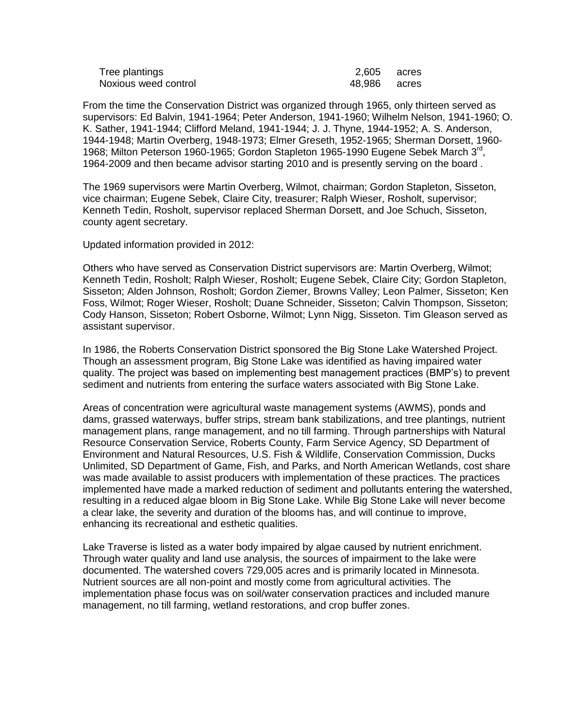| Tree plantings       | 2,605 acres  |  |
|----------------------|--------------|--|
| Noxious weed control | 48,986 acres |  |

From the time the Conservation District was organized through 1965, only thirteen served as supervisors: Ed Balvin, 1941-1964; Peter Anderson, 1941-1960; Wilhelm Nelson, 1941-1960; O. K. Sather, 1941-1944; Clifford Meland, 1941-1944; J. J. Thyne, 1944-1952; A. S. Anderson, 1944-1948; Martin Overberg, 1948-1973; Elmer Greseth, 1952-1965; Sherman Dorsett, 1960- 1968; Milton Peterson 1960-1965; Gordon Stapleton 1965-1990 Eugene Sebek March 3<sup>rd</sup>, 1964-2009 and then became advisor starting 2010 and is presently serving on the board .

The 1969 supervisors were Martin Overberg, Wilmot, chairman; Gordon Stapleton, Sisseton, vice chairman; Eugene Sebek, Claire City, treasurer; Ralph Wieser, Rosholt, supervisor; Kenneth Tedin, Rosholt, supervisor replaced Sherman Dorsett, and Joe Schuch, Sisseton, county agent secretary.

Updated information provided in 2012:

Others who have served as Conservation District supervisors are: Martin Overberg, Wilmot; Kenneth Tedin, Rosholt; Ralph Wieser, Rosholt; Eugene Sebek, Claire City; Gordon Stapleton, Sisseton; Alden Johnson, Rosholt; Gordon Ziemer, Browns Valley; Leon Palmer, Sisseton; Ken Foss, Wilmot; Roger Wieser, Rosholt; Duane Schneider, Sisseton; Calvin Thompson, Sisseton; Cody Hanson, Sisseton; Robert Osborne, Wilmot; Lynn Nigg, Sisseton. Tim Gleason served as assistant supervisor.

In 1986, the Roberts Conservation District sponsored the Big Stone Lake Watershed Project. Though an assessment program, Big Stone Lake was identified as having impaired water quality. The project was based on implementing best management practices (BMP's) to prevent sediment and nutrients from entering the surface waters associated with Big Stone Lake.

Areas of concentration were agricultural waste management systems (AWMS), ponds and dams, grassed waterways, buffer strips, stream bank stabilizations, and tree plantings, nutrient management plans, range management, and no till farming. Through partnerships with Natural Resource Conservation Service, Roberts County, Farm Service Agency, SD Department of Environment and Natural Resources, U.S. Fish & Wildlife, Conservation Commission, Ducks Unlimited, SD Department of Game, Fish, and Parks, and North American Wetlands, cost share was made available to assist producers with implementation of these practices. The practices implemented have made a marked reduction of sediment and pollutants entering the watershed, resulting in a reduced algae bloom in Big Stone Lake. While Big Stone Lake will never become a clear lake, the severity and duration of the blooms has, and will continue to improve, enhancing its recreational and esthetic qualities.

Lake Traverse is listed as a water body impaired by algae caused by nutrient enrichment. Through water quality and land use analysis, the sources of impairment to the lake were documented. The watershed covers 729,005 acres and is primarily located in Minnesota. Nutrient sources are all non-point and mostly come from agricultural activities. The implementation phase focus was on soil/water conservation practices and included manure management, no till farming, wetland restorations, and crop buffer zones.